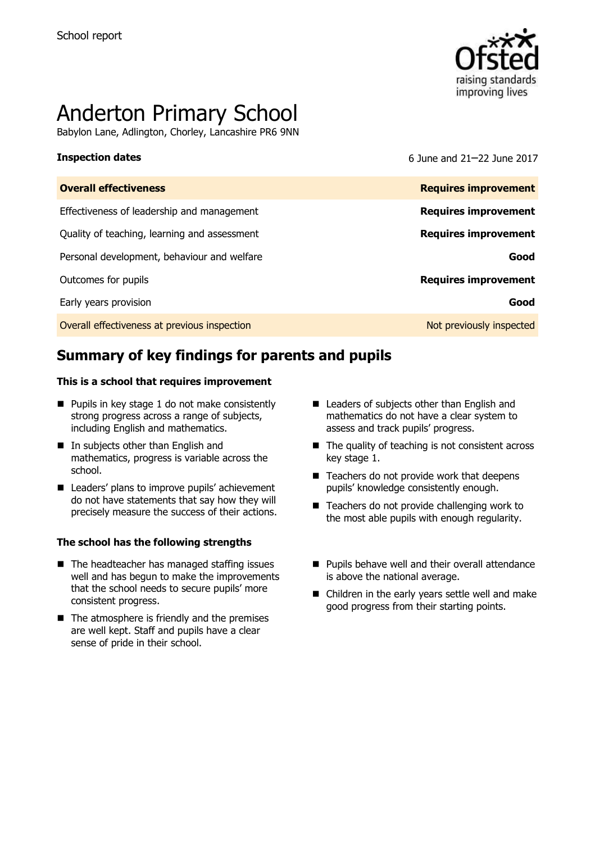

# Anderton Primary School

Babylon Lane, Adlington, Chorley, Lancashire PR6 9NN

**Inspection dates** 6 June and 21–22 June 2017

| <b>Overall effectiveness</b>                 | <b>Requires improvement</b> |
|----------------------------------------------|-----------------------------|
| Effectiveness of leadership and management   | <b>Requires improvement</b> |
| Quality of teaching, learning and assessment | <b>Requires improvement</b> |
| Personal development, behaviour and welfare  | Good                        |
| Outcomes for pupils                          | <b>Requires improvement</b> |
| Early years provision                        | Good                        |
| Overall effectiveness at previous inspection | Not previously inspected    |

# **Summary of key findings for parents and pupils**

### **This is a school that requires improvement**

- $\blacksquare$  Pupils in key stage 1 do not make consistently strong progress across a range of subjects, including English and mathematics.
- In subjects other than English and mathematics, progress is variable across the school.
- Leaders' plans to improve pupils' achievement do not have statements that say how they will precisely measure the success of their actions.

### **The school has the following strengths**

- $\blacksquare$  The headteacher has managed staffing issues well and has begun to make the improvements that the school needs to secure pupils' more consistent progress.
- $\blacksquare$  The atmosphere is friendly and the premises are well kept. Staff and pupils have a clear sense of pride in their school.
- Leaders of subjects other than English and mathematics do not have a clear system to assess and track pupils' progress.
- $\blacksquare$  The quality of teaching is not consistent across key stage 1.
- Teachers do not provide work that deepens pupils' knowledge consistently enough.
- Teachers do not provide challenging work to the most able pupils with enough regularity.
- Pupils behave well and their overall attendance is above the national average.
- Children in the early years settle well and make good progress from their starting points.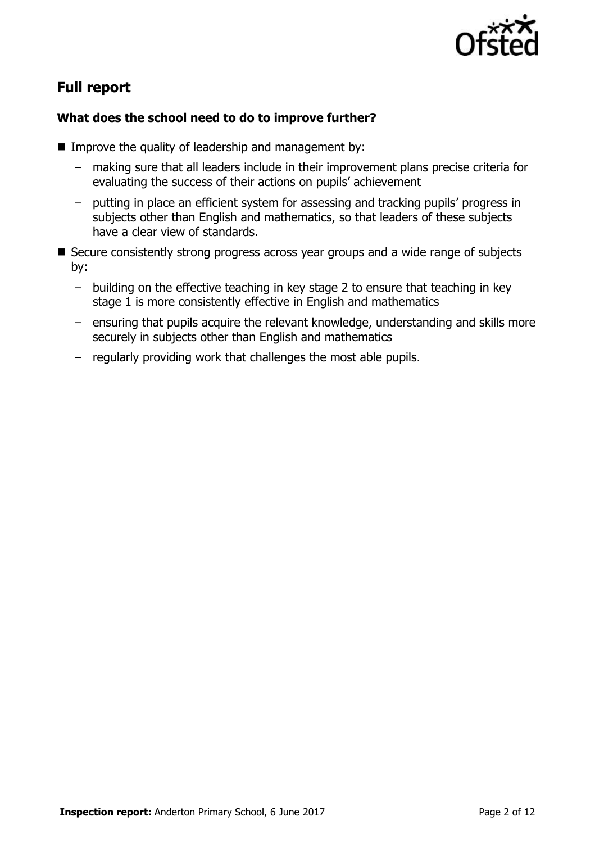

# **Full report**

### **What does the school need to do to improve further?**

- **IMPROVE the quality of leadership and management by:** 
	- making sure that all leaders include in their improvement plans precise criteria for evaluating the success of their actions on pupils' achievement
	- putting in place an efficient system for assessing and tracking pupils' progress in subjects other than English and mathematics, so that leaders of these subjects have a clear view of standards.
- Secure consistently strong progress across year groups and a wide range of subjects by:
	- building on the effective teaching in key stage 2 to ensure that teaching in key stage 1 is more consistently effective in English and mathematics
	- ensuring that pupils acquire the relevant knowledge, understanding and skills more securely in subjects other than English and mathematics
	- regularly providing work that challenges the most able pupils.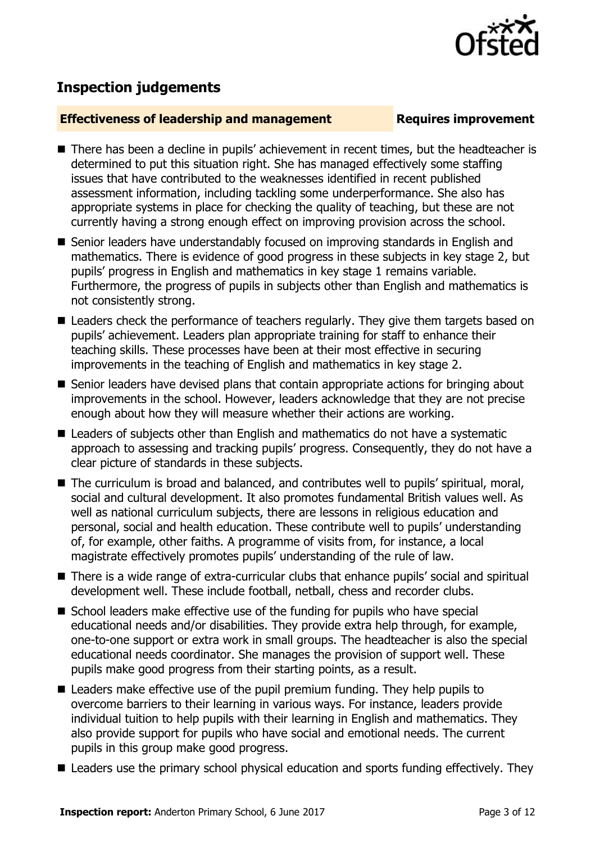

## **Inspection judgements**

### **Effectiveness of leadership and management Requires improvement**

- There has been a decline in pupils' achievement in recent times, but the headteacher is determined to put this situation right. She has managed effectively some staffing issues that have contributed to the weaknesses identified in recent published assessment information, including tackling some underperformance. She also has appropriate systems in place for checking the quality of teaching, but these are not currently having a strong enough effect on improving provision across the school.
- Senior leaders have understandably focused on improving standards in English and mathematics. There is evidence of good progress in these subjects in key stage 2, but pupils' progress in English and mathematics in key stage 1 remains variable. Furthermore, the progress of pupils in subjects other than English and mathematics is not consistently strong.
- Leaders check the performance of teachers regularly. They give them targets based on pupils' achievement. Leaders plan appropriate training for staff to enhance their teaching skills. These processes have been at their most effective in securing improvements in the teaching of English and mathematics in key stage 2.
- Senior leaders have devised plans that contain appropriate actions for bringing about improvements in the school. However, leaders acknowledge that they are not precise enough about how they will measure whether their actions are working.
- Leaders of subjects other than English and mathematics do not have a systematic approach to assessing and tracking pupils' progress. Consequently, they do not have a clear picture of standards in these subjects.
- The curriculum is broad and balanced, and contributes well to pupils' spiritual, moral, social and cultural development. It also promotes fundamental British values well. As well as national curriculum subjects, there are lessons in religious education and personal, social and health education. These contribute well to pupils' understanding of, for example, other faiths. A programme of visits from, for instance, a local magistrate effectively promotes pupils' understanding of the rule of law.
- There is a wide range of extra-curricular clubs that enhance pupils' social and spiritual development well. These include football, netball, chess and recorder clubs.
- School leaders make effective use of the funding for pupils who have special educational needs and/or disabilities. They provide extra help through, for example, one-to-one support or extra work in small groups. The headteacher is also the special educational needs coordinator. She manages the provision of support well. These pupils make good progress from their starting points, as a result.
- Leaders make effective use of the pupil premium funding. They help pupils to overcome barriers to their learning in various ways. For instance, leaders provide individual tuition to help pupils with their learning in English and mathematics. They also provide support for pupils who have social and emotional needs. The current pupils in this group make good progress.
- Leaders use the primary school physical education and sports funding effectively. They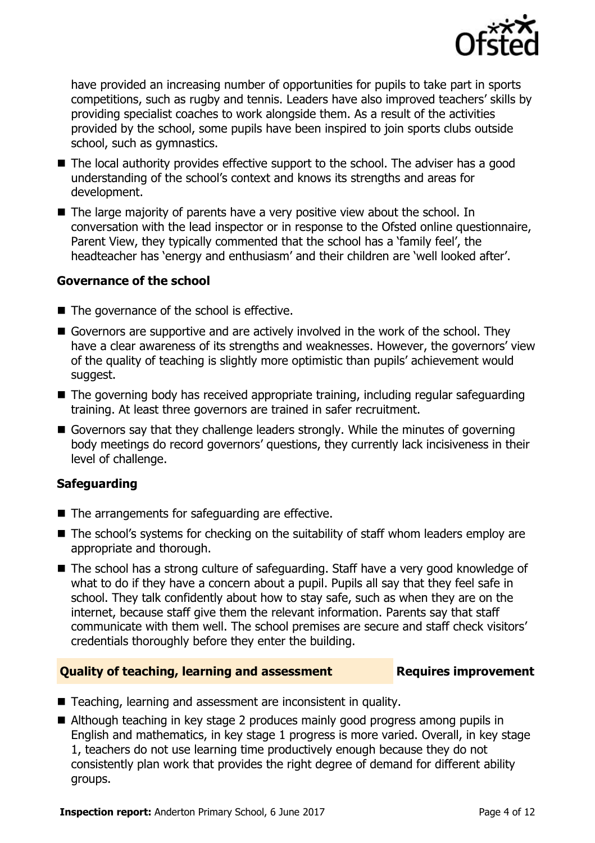

have provided an increasing number of opportunities for pupils to take part in sports competitions, such as rugby and tennis. Leaders have also improved teachers' skills by providing specialist coaches to work alongside them. As a result of the activities provided by the school, some pupils have been inspired to join sports clubs outside school, such as gymnastics.

- The local authority provides effective support to the school. The adviser has a good understanding of the school's context and knows its strengths and areas for development.
- The large majority of parents have a very positive view about the school. In conversation with the lead inspector or in response to the Ofsted online questionnaire, Parent View, they typically commented that the school has a 'family feel', the headteacher has 'energy and enthusiasm' and their children are 'well looked after'.

### **Governance of the school**

- $\blacksquare$  The governance of the school is effective.
- Governors are supportive and are actively involved in the work of the school. They have a clear awareness of its strengths and weaknesses. However, the governors' view of the quality of teaching is slightly more optimistic than pupils' achievement would suggest.
- The governing body has received appropriate training, including regular safeguarding training. At least three governors are trained in safer recruitment.
- Governors say that they challenge leaders strongly. While the minutes of governing body meetings do record governors' questions, they currently lack incisiveness in their level of challenge.

### **Safeguarding**

- The arrangements for safeguarding are effective.
- The school's systems for checking on the suitability of staff whom leaders employ are appropriate and thorough.
- The school has a strong culture of safeguarding. Staff have a very good knowledge of what to do if they have a concern about a pupil. Pupils all say that they feel safe in school. They talk confidently about how to stay safe, such as when they are on the internet, because staff give them the relevant information. Parents say that staff communicate with them well. The school premises are secure and staff check visitors' credentials thoroughly before they enter the building.

### **Quality of teaching, learning and assessment Requires improvement**

- Teaching, learning and assessment are inconsistent in quality.
- Although teaching in key stage 2 produces mainly good progress among pupils in English and mathematics, in key stage 1 progress is more varied. Overall, in key stage 1, teachers do not use learning time productively enough because they do not consistently plan work that provides the right degree of demand for different ability groups.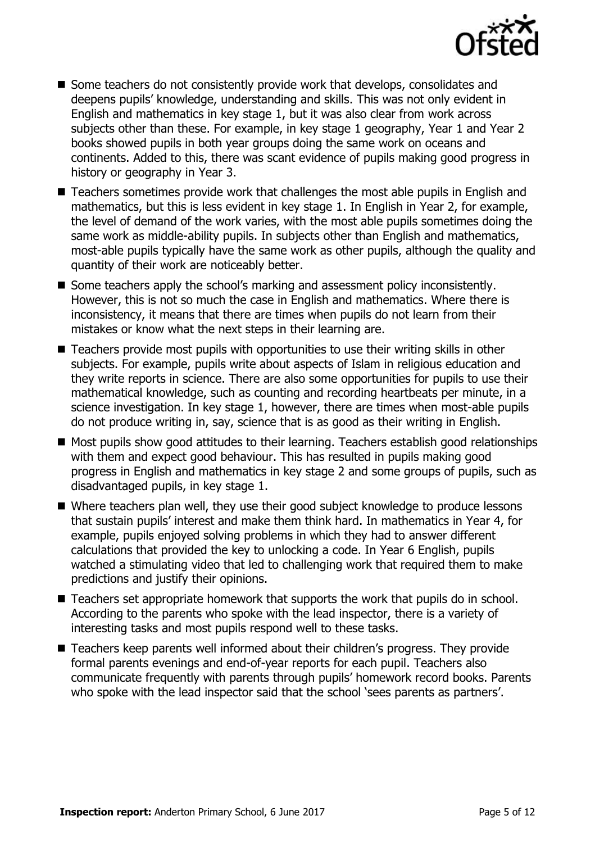

- $\blacksquare$  Some teachers do not consistently provide work that develops, consolidates and deepens pupils' knowledge, understanding and skills. This was not only evident in English and mathematics in key stage 1, but it was also clear from work across subjects other than these. For example, in key stage 1 geography, Year 1 and Year 2 books showed pupils in both year groups doing the same work on oceans and continents. Added to this, there was scant evidence of pupils making good progress in history or geography in Year 3.
- Teachers sometimes provide work that challenges the most able pupils in English and mathematics, but this is less evident in key stage 1. In English in Year 2, for example, the level of demand of the work varies, with the most able pupils sometimes doing the same work as middle-ability pupils. In subjects other than English and mathematics, most-able pupils typically have the same work as other pupils, although the quality and quantity of their work are noticeably better.
- Some teachers apply the school's marking and assessment policy inconsistently. However, this is not so much the case in English and mathematics. Where there is inconsistency, it means that there are times when pupils do not learn from their mistakes or know what the next steps in their learning are.
- Teachers provide most pupils with opportunities to use their writing skills in other subjects. For example, pupils write about aspects of Islam in religious education and they write reports in science. There are also some opportunities for pupils to use their mathematical knowledge, such as counting and recording heartbeats per minute, in a science investigation. In key stage 1, however, there are times when most-able pupils do not produce writing in, say, science that is as good as their writing in English.
- Most pupils show good attitudes to their learning. Teachers establish good relationships with them and expect good behaviour. This has resulted in pupils making good progress in English and mathematics in key stage 2 and some groups of pupils, such as disadvantaged pupils, in key stage 1.
- Where teachers plan well, they use their good subject knowledge to produce lessons that sustain pupils' interest and make them think hard. In mathematics in Year 4, for example, pupils enjoyed solving problems in which they had to answer different calculations that provided the key to unlocking a code. In Year 6 English, pupils watched a stimulating video that led to challenging work that required them to make predictions and justify their opinions.
- Teachers set appropriate homework that supports the work that pupils do in school. According to the parents who spoke with the lead inspector, there is a variety of interesting tasks and most pupils respond well to these tasks.
- Teachers keep parents well informed about their children's progress. They provide formal parents evenings and end-of-year reports for each pupil. Teachers also communicate frequently with parents through pupils' homework record books. Parents who spoke with the lead inspector said that the school 'sees parents as partners'.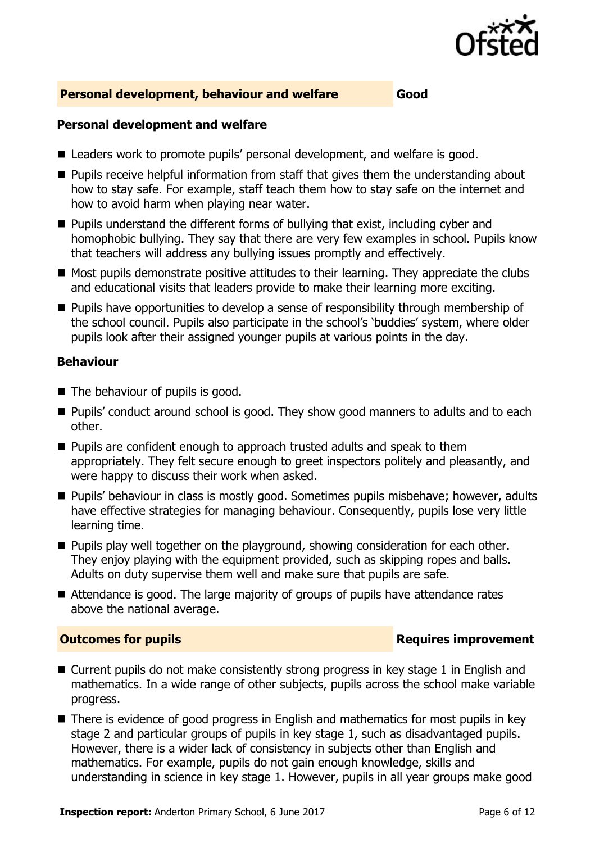

### **Personal development, behaviour and welfare Good**

### **Personal development and welfare**

- Leaders work to promote pupils' personal development, and welfare is good.
- **Pupils receive helpful information from staff that gives them the understanding about** how to stay safe. For example, staff teach them how to stay safe on the internet and how to avoid harm when playing near water.
- $\blacksquare$  Pupils understand the different forms of bullying that exist, including cyber and homophobic bullying. They say that there are very few examples in school. Pupils know that teachers will address any bullying issues promptly and effectively.
- $\blacksquare$  Most pupils demonstrate positive attitudes to their learning. They appreciate the clubs and educational visits that leaders provide to make their learning more exciting.
- Pupils have opportunities to develop a sense of responsibility through membership of the school council. Pupils also participate in the school's 'buddies' system, where older pupils look after their assigned younger pupils at various points in the day.

### **Behaviour**

- $\blacksquare$  The behaviour of pupils is good.
- **Pupils'** conduct around school is good. They show good manners to adults and to each other.
- $\blacksquare$  Pupils are confident enough to approach trusted adults and speak to them appropriately. They felt secure enough to greet inspectors politely and pleasantly, and were happy to discuss their work when asked.
- **Pupils' behaviour in class is mostly good. Sometimes pupils misbehave; however, adults** have effective strategies for managing behaviour. Consequently, pupils lose very little learning time.
- **Pupils play well together on the playground, showing consideration for each other.** They enjoy playing with the equipment provided, such as skipping ropes and balls. Adults on duty supervise them well and make sure that pupils are safe.
- Attendance is good. The large majority of groups of pupils have attendance rates above the national average.

### **Outcomes for pupils Requires improvement**

- Current pupils do not make consistently strong progress in key stage 1 in English and mathematics. In a wide range of other subjects, pupils across the school make variable progress.
- There is evidence of good progress in English and mathematics for most pupils in key stage 2 and particular groups of pupils in key stage 1, such as disadvantaged pupils. However, there is a wider lack of consistency in subjects other than English and mathematics. For example, pupils do not gain enough knowledge, skills and understanding in science in key stage 1. However, pupils in all year groups make good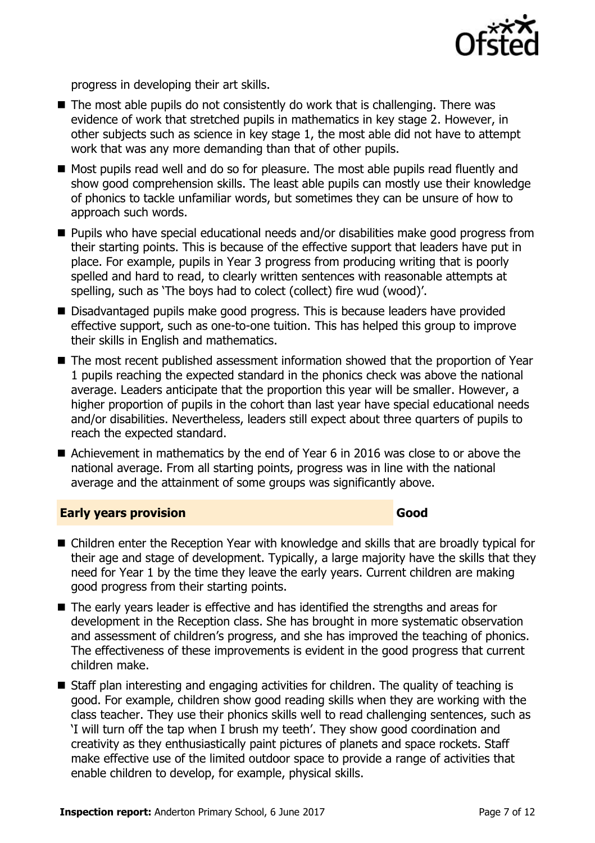

progress in developing their art skills.

- $\blacksquare$  The most able pupils do not consistently do work that is challenging. There was evidence of work that stretched pupils in mathematics in key stage 2. However, in other subjects such as science in key stage 1, the most able did not have to attempt work that was any more demanding than that of other pupils.
- Most pupils read well and do so for pleasure. The most able pupils read fluently and show good comprehension skills. The least able pupils can mostly use their knowledge of phonics to tackle unfamiliar words, but sometimes they can be unsure of how to approach such words.
- Pupils who have special educational needs and/or disabilities make good progress from their starting points. This is because of the effective support that leaders have put in place. For example, pupils in Year 3 progress from producing writing that is poorly spelled and hard to read, to clearly written sentences with reasonable attempts at spelling, such as 'The boys had to colect (collect) fire wud (wood)'.
- Disadvantaged pupils make good progress. This is because leaders have provided effective support, such as one-to-one tuition. This has helped this group to improve their skills in English and mathematics.
- The most recent published assessment information showed that the proportion of Year 1 pupils reaching the expected standard in the phonics check was above the national average. Leaders anticipate that the proportion this year will be smaller. However, a higher proportion of pupils in the cohort than last year have special educational needs and/or disabilities. Nevertheless, leaders still expect about three quarters of pupils to reach the expected standard.
- Achievement in mathematics by the end of Year 6 in 2016 was close to or above the national average. From all starting points, progress was in line with the national average and the attainment of some groups was significantly above.

### **Early years provision Good Good**

- Children enter the Reception Year with knowledge and skills that are broadly typical for their age and stage of development. Typically, a large majority have the skills that they need for Year 1 by the time they leave the early years. Current children are making good progress from their starting points.
- The early years leader is effective and has identified the strengths and areas for development in the Reception class. She has brought in more systematic observation and assessment of children's progress, and she has improved the teaching of phonics. The effectiveness of these improvements is evident in the good progress that current children make.
- Staff plan interesting and engaging activities for children. The quality of teaching is good. For example, children show good reading skills when they are working with the class teacher. They use their phonics skills well to read challenging sentences, such as 'I will turn off the tap when I brush my teeth'. They show good coordination and creativity as they enthusiastically paint pictures of planets and space rockets. Staff make effective use of the limited outdoor space to provide a range of activities that enable children to develop, for example, physical skills.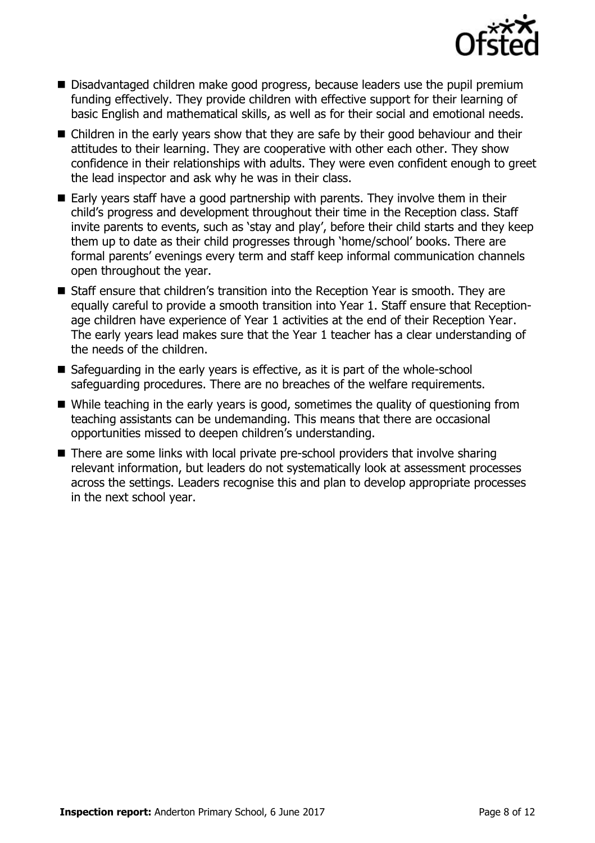

- Disadvantaged children make good progress, because leaders use the pupil premium funding effectively. They provide children with effective support for their learning of basic English and mathematical skills, as well as for their social and emotional needs.
- Children in the early years show that they are safe by their good behaviour and their attitudes to their learning. They are cooperative with other each other. They show confidence in their relationships with adults. They were even confident enough to greet the lead inspector and ask why he was in their class.
- Early years staff have a good partnership with parents. They involve them in their child's progress and development throughout their time in the Reception class. Staff invite parents to events, such as 'stay and play', before their child starts and they keep them up to date as their child progresses through 'home/school' books. There are formal parents' evenings every term and staff keep informal communication channels open throughout the year.
- Staff ensure that children's transition into the Reception Year is smooth. They are equally careful to provide a smooth transition into Year 1. Staff ensure that Receptionage children have experience of Year 1 activities at the end of their Reception Year. The early years lead makes sure that the Year 1 teacher has a clear understanding of the needs of the children.
- $\blacksquare$  Safeguarding in the early years is effective, as it is part of the whole-school safeguarding procedures. There are no breaches of the welfare requirements.
- While teaching in the early years is good, sometimes the quality of questioning from teaching assistants can be undemanding. This means that there are occasional opportunities missed to deepen children's understanding.
- There are some links with local private pre-school providers that involve sharing relevant information, but leaders do not systematically look at assessment processes across the settings. Leaders recognise this and plan to develop appropriate processes in the next school year.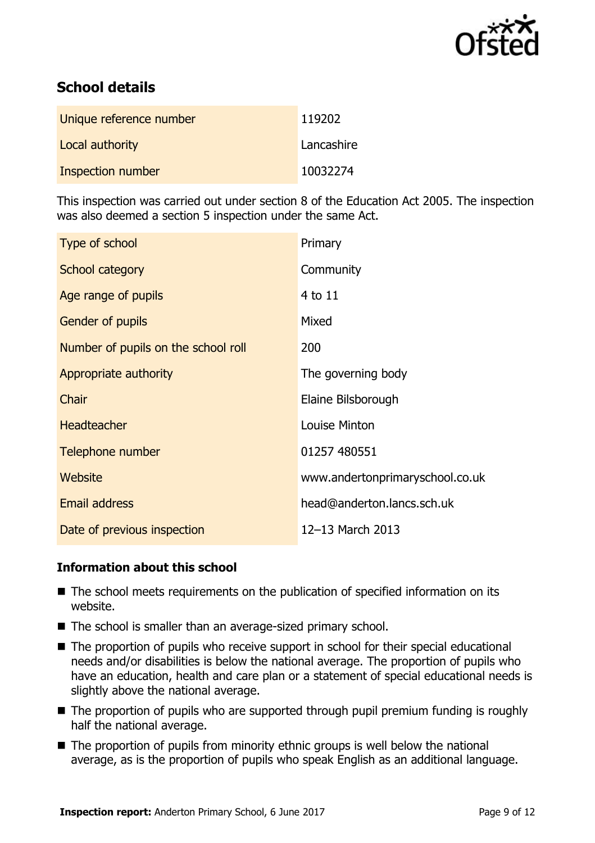

# **School details**

| Unique reference number | 119202     |
|-------------------------|------------|
| Local authority         | Lancashire |
| Inspection number       | 10032274   |

This inspection was carried out under section 8 of the Education Act 2005. The inspection was also deemed a section 5 inspection under the same Act.

| Type of school                      | Primary                         |
|-------------------------------------|---------------------------------|
| School category                     | Community                       |
| Age range of pupils                 | 4 to 11                         |
| <b>Gender of pupils</b>             | Mixed                           |
| Number of pupils on the school roll | 200                             |
| Appropriate authority               | The governing body              |
| Chair                               | Elaine Bilsborough              |
| <b>Headteacher</b>                  | Louise Minton                   |
| Telephone number                    | 01257 480551                    |
| Website                             | www.andertonprimaryschool.co.uk |
| Email address                       | head@anderton.lancs.sch.uk      |
| Date of previous inspection         | 12-13 March 2013                |

### **Information about this school**

- The school meets requirements on the publication of specified information on its website.
- The school is smaller than an average-sized primary school.
- The proportion of pupils who receive support in school for their special educational needs and/or disabilities is below the national average. The proportion of pupils who have an education, health and care plan or a statement of special educational needs is slightly above the national average.
- The proportion of pupils who are supported through pupil premium funding is roughly half the national average.
- $\blacksquare$  The proportion of pupils from minority ethnic groups is well below the national average, as is the proportion of pupils who speak English as an additional language.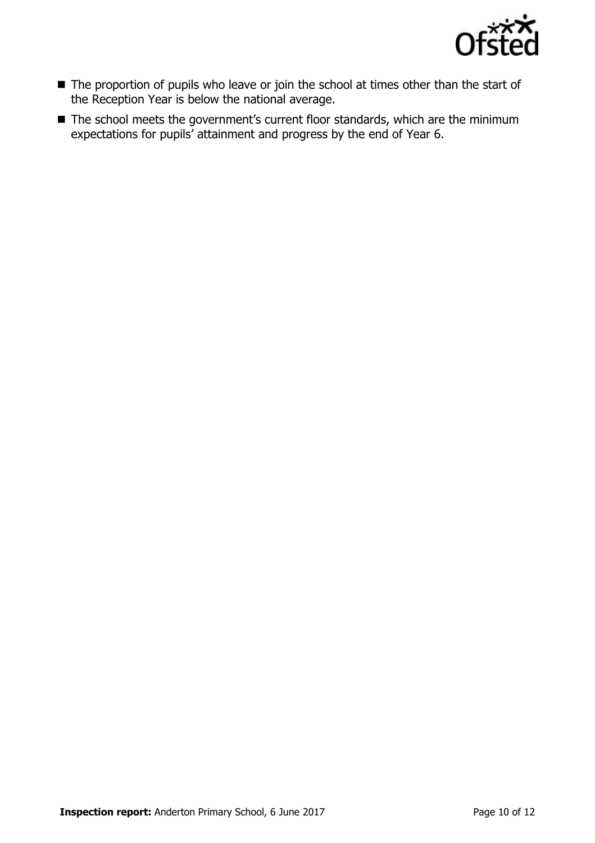

- The proportion of pupils who leave or join the school at times other than the start of the Reception Year is below the national average.
- The school meets the government's current floor standards, which are the minimum expectations for pupils' attainment and progress by the end of Year 6.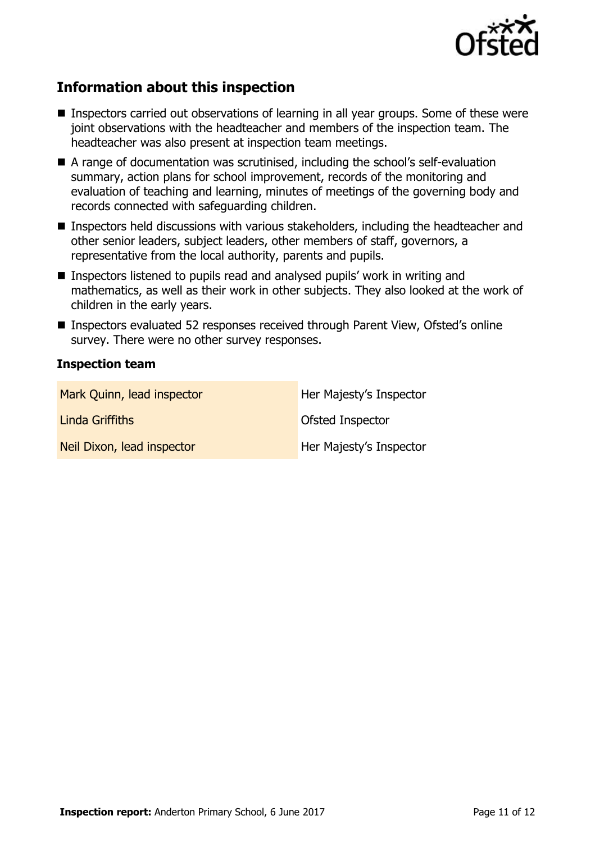

# **Information about this inspection**

- **Inspectors carried out observations of learning in all year groups. Some of these were** joint observations with the headteacher and members of the inspection team. The headteacher was also present at inspection team meetings.
- A range of documentation was scrutinised, including the school's self-evaluation summary, action plans for school improvement, records of the monitoring and evaluation of teaching and learning, minutes of meetings of the governing body and records connected with safeguarding children.
- Inspectors held discussions with various stakeholders, including the headteacher and other senior leaders, subject leaders, other members of staff, governors, a representative from the local authority, parents and pupils.
- Inspectors listened to pupils read and analysed pupils' work in writing and mathematics, as well as their work in other subjects. They also looked at the work of children in the early years.
- Inspectors evaluated 52 responses received through Parent View, Ofsted's online survey. There were no other survey responses.

### **Inspection team**

| Mark Quinn, lead inspector | Her Majesty's Inspector |
|----------------------------|-------------------------|
| Linda Griffiths            | Ofsted Inspector        |
| Neil Dixon, lead inspector | Her Majesty's Inspector |